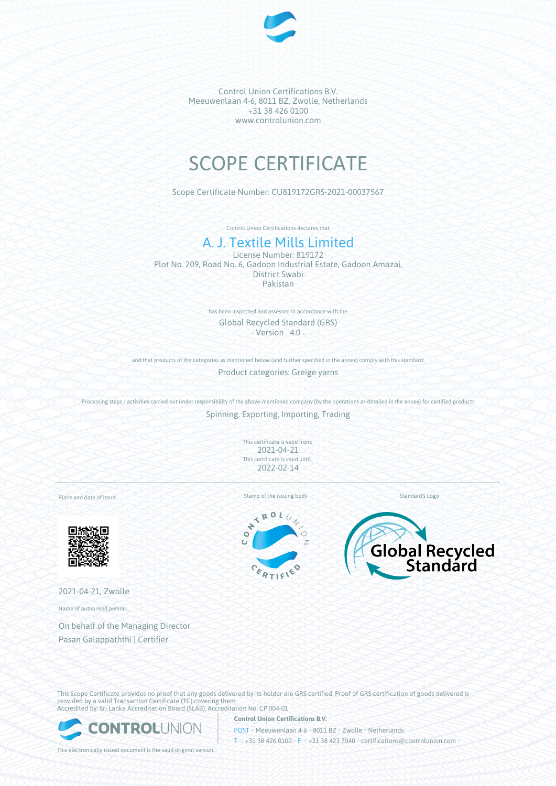

# SCOPE CERTIFICATE

Scope Certificate Number: CU819172GRS-2021-00037567

Control Union Certifications declares that

## A. J. Textile Mills Limited

License Number: 819172 Plot No. 209, Road No. 6, Gadoon Industrial Estate, Gadoon Amazai, District Swabi Pakistan

> has been inspected and assessed in accordance with the Global Recycled Standard (GRS) - Version 4.0 -

and that products of the categories as mentioned below (and further specified in the annex) comply with this standard:

Product categories: Greige yarns

Processing steps / activities carried out under responsibility of the above-mentioned company (by the operations as detailed in the annex) for certified products Spinning, Exporting, Importing, Trading

> This certificate is valid from: 2021-04-21 This certificate is valid until: 2022-02-14

Place and date of issue:



2021-04-21, Zwolle

Name of authorised person:

On behalf of the Managing Director Pasan Galappaththi | Certifier

Stamp of the issuing body Standard's Logo

ROL  $\overline{\mathbf{X}}$  $\ddot{\phantom{0}}$  $\bullet$ Ŧ.





This Scope Certificate provides no proof that any goods delivered by its holder are GRS certified. Proof of GRS certification of goods delivered is provided by a valid Transaction Certificate (TC) covering them. Accredited by: Sri Lanka Accreditation Board (SLAB), Accreditation No: CP 004-01



**Control Union Certifications B.V.** POST • Meeuwenlaan 4-6 • 8011 BZ • Zwolle • Netherlands T • +31 38 426 0100 • F • +31 38 423 7040 • certifications@controlunion.com •

This electronically issued document is the valid original version.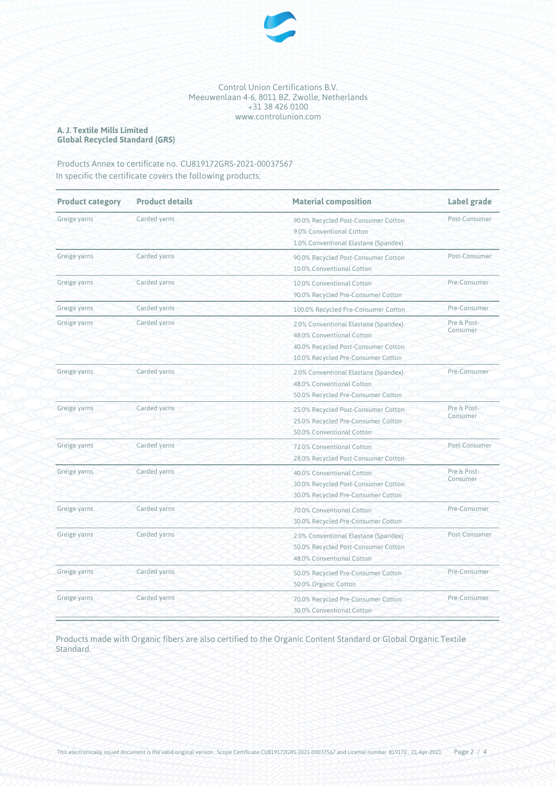

## **A. J. Textile Mills Limited Global Recycled Standard (GRS)**

## Products Annex to certificate no. CU819172GRS-2021-00037567 In specific the certificate covers the following products:

| <b>Product category</b> | <b>Product details</b> | <b>Material composition</b>                                                                                                                    | Label grade             |
|-------------------------|------------------------|------------------------------------------------------------------------------------------------------------------------------------------------|-------------------------|
| Greige yarns            | Carded yarns           | 90.0% Recycled Post-Consumer Cotton<br>9.0% Conventional Cotton<br>1.0% Conventional Elastane (Spandex)                                        | Post-Consumer           |
| Greige yarns            | Carded yarns           | 90.0% Recycled Post-Consumer Cotton<br>10.0% Conventional Cotton                                                                               | Post-Consumer           |
| Greige yarns            | Carded yarns           | 10.0% Conventional Cotton<br>90.0% Recycled Pre-Consumer Cotton                                                                                | Pre-Consumer            |
| Greige yarns            | Carded yarns           | 100.0% Recycled Pre-Consumer Cotton                                                                                                            | Pre-Consumer            |
| Greige yarns            | Carded yarns           | 2.0% Conventional Elastane (Spandex)<br>48.0% Conventional Cotton<br>40.0% Recycled Post-Consumer Cotton<br>10.0% Recycled Pre-Consumer Cotton | Pre & Post-<br>Consumer |
| Greige yarns            | Carded yarns           | 2.0% Conventional Elastane (Spandex)<br>48.0% Conventional Cotton<br>50.0% Recycled Pre-Consumer Cotton                                        | Pre-Consumer            |
| Greige yarns            | Carded yarns           | 25.0% Recycled Post-Consumer Cotton<br>25.0% Recycled Pre-Consumer Cotton<br>50.0% Conventional Cotton                                         | Pre & Post-<br>Consumer |
| Greige yarns            | Carded yarns           | 72.0% Conventional Cotton<br>28.0% Recycled Post-Consumer Cotton                                                                               | Post-Consumer           |
| Greige yarns            | Carded yarns           | 40.0% Conventional Cotton<br>30.0% Recycled Post-Consumer Cotton<br>30.0% Recycled Pre-Consumer Cotton                                         | Pre & Post-<br>Consumer |
| Greige yarns            | Carded yarns           | 70.0% Conventional Cotton<br>30.0% Recycled Pre-Consumer Cotton                                                                                | Pre-Consumer            |
| Greige yarns            | Carded yarns           | 2.0% Conventional Elastane (Spandex)<br>50.0% Recycled Post-Consumer Cotton<br>48.0% Conventional Cotton                                       | Post-Consumer           |
| Greige yarns            | Carded yarns           | 50.0% Recycled Pre-Consumer Cotton<br>50.0% Organic Cotton                                                                                     | Pre-Consumer            |
| Greige yarns            | Carded yarns           | 70.0% Recycled Pre-Consumer Cotton<br>30.0% Conventional Cotton                                                                                | Pre-Consumer            |

## Products made with Organic fibers are also certified to the Organic Content Standard or Global Organic Textile Standard.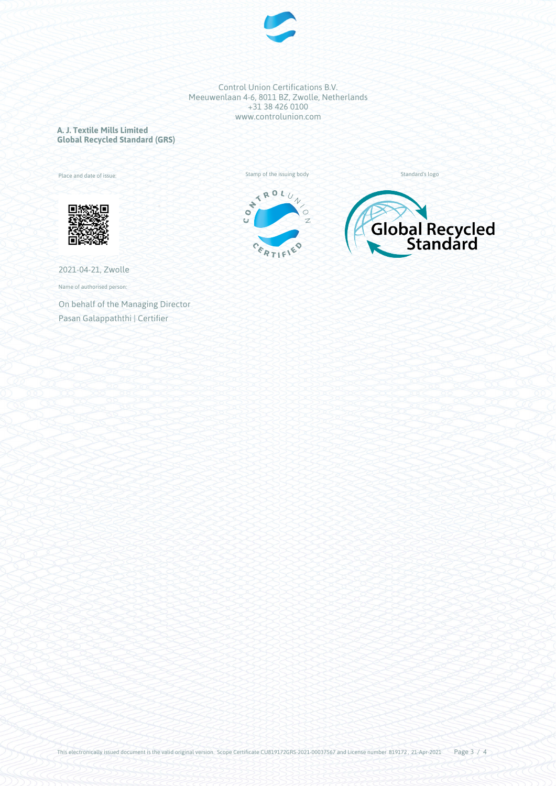

**A. J. Textile Mills Limited Global Recycled Standard (GRS)**

Place and date of issue:









2021-04-21, Zwolle

Name of authorised person:

On behalf of the Managing Director Pasan Galappaththi | Certifier